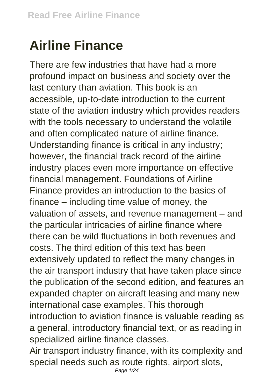## **Airline Finance**

There are few industries that have had a more profound impact on business and society over the last century than aviation. This book is an accessible, up-to-date introduction to the current state of the aviation industry which provides readers with the tools necessary to understand the volatile and often complicated nature of airline finance. Understanding finance is critical in any industry; however, the financial track record of the airline industry places even more importance on effective financial management. Foundations of Airline Finance provides an introduction to the basics of finance – including time value of money, the valuation of assets, and revenue management – and the particular intricacies of airline finance where there can be wild fluctuations in both revenues and costs. The third edition of this text has been extensively updated to reflect the many changes in the air transport industry that have taken place since the publication of the second edition, and features an expanded chapter on aircraft leasing and many new international case examples. This thorough introduction to aviation finance is valuable reading as a general, introductory financial text, or as reading in specialized airline finance classes.

Air transport industry finance, with its complexity and special needs such as route rights, airport slots,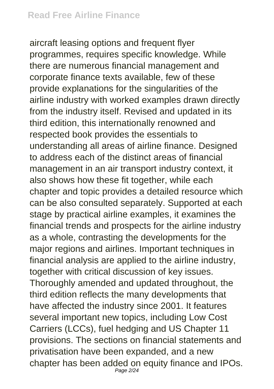aircraft leasing options and frequent flyer programmes, requires specific knowledge. While there are numerous financial management and corporate finance texts available, few of these provide explanations for the singularities of the airline industry with worked examples drawn directly from the industry itself. Revised and updated in its third edition, this internationally renowned and respected book provides the essentials to understanding all areas of airline finance. Designed to address each of the distinct areas of financial management in an air transport industry context, it also shows how these fit together, while each chapter and topic provides a detailed resource which can be also consulted separately. Supported at each stage by practical airline examples, it examines the financial trends and prospects for the airline industry as a whole, contrasting the developments for the major regions and airlines. Important techniques in financial analysis are applied to the airline industry, together with critical discussion of key issues. Thoroughly amended and updated throughout, the third edition reflects the many developments that have affected the industry since 2001. It features several important new topics, including Low Cost Carriers (LCCs), fuel hedging and US Chapter 11 provisions. The sections on financial statements and privatisation have been expanded, and a new chapter has been added on equity finance and IPOs. Page 2/24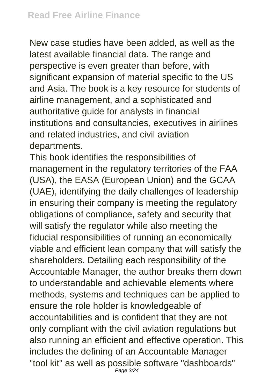New case studies have been added, as well as the latest available financial data. The range and perspective is even greater than before, with significant expansion of material specific to the US and Asia. The book is a key resource for students of airline management, and a sophisticated and authoritative guide for analysts in financial institutions and consultancies, executives in airlines and related industries, and civil aviation departments.

This book identifies the responsibilities of management in the regulatory territories of the FAA (USA), the EASA (European Union) and the GCAA (UAE), identifying the daily challenges of leadership in ensuring their company is meeting the regulatory obligations of compliance, safety and security that will satisfy the regulator while also meeting the fiducial responsibilities of running an economically viable and efficient lean company that will satisfy the shareholders. Detailing each responsibility of the Accountable Manager, the author breaks them down to understandable and achievable elements where methods, systems and techniques can be applied to ensure the role holder is knowledgeable of accountabilities and is confident that they are not only compliant with the civil aviation regulations but also running an efficient and effective operation. This includes the defining of an Accountable Manager "tool kit" as well as possible software "dashboards" Page 3/24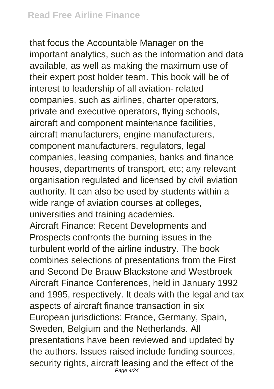that focus the Accountable Manager on the important analytics, such as the information and data available, as well as making the maximum use of their expert post holder team. This book will be of interest to leadership of all aviation- related companies, such as airlines, charter operators, private and executive operators, flying schools, aircraft and component maintenance facilities, aircraft manufacturers, engine manufacturers, component manufacturers, regulators, legal companies, leasing companies, banks and finance houses, departments of transport, etc; any relevant organisation regulated and licensed by civil aviation authority. It can also be used by students within a wide range of aviation courses at colleges, universities and training academies. Aircraft Finance: Recent Developments and Prospects confronts the burning issues in the turbulent world of the airline industry. The book combines selections of presentations from the First and Second De Brauw Blackstone and Westbroek Aircraft Finance Conferences, held in January 1992 and 1995, respectively. It deals with the legal and tax aspects of aircraft finance transaction in six European jurisdictions: France, Germany, Spain, Sweden, Belgium and the Netherlands. All presentations have been reviewed and updated by the authors. Issues raised include funding sources, security rights, aircraft leasing and the effect of the Page 4/24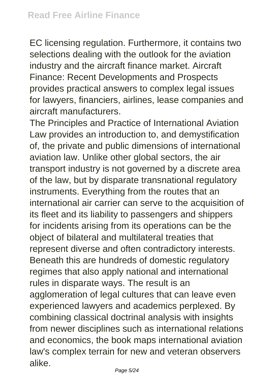EC licensing regulation. Furthermore, it contains two selections dealing with the outlook for the aviation industry and the aircraft finance market. Aircraft Finance: Recent Developments and Prospects provides practical answers to complex legal issues for lawyers, financiers, airlines, lease companies and aircraft manufacturers.

The Principles and Practice of International Aviation Law provides an introduction to, and demystification of, the private and public dimensions of international aviation law. Unlike other global sectors, the air transport industry is not governed by a discrete area of the law, but by disparate transnational regulatory instruments. Everything from the routes that an international air carrier can serve to the acquisition of its fleet and its liability to passengers and shippers for incidents arising from its operations can be the object of bilateral and multilateral treaties that represent diverse and often contradictory interests. Beneath this are hundreds of domestic regulatory regimes that also apply national and international rules in disparate ways. The result is an agglomeration of legal cultures that can leave even experienced lawyers and academics perplexed. By combining classical doctrinal analysis with insights from newer disciplines such as international relations and economics, the book maps international aviation law's complex terrain for new and veteran observers alike.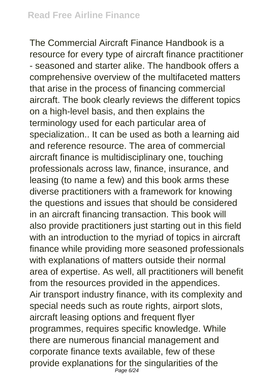The Commercial Aircraft Finance Handbook is a resource for every type of aircraft finance practitioner - seasoned and starter alike. The handbook offers a comprehensive overview of the multifaceted matters that arise in the process of financing commercial aircraft. The book clearly reviews the different topics on a high-level basis, and then explains the terminology used for each particular area of specialization.. It can be used as both a learning aid and reference resource. The area of commercial aircraft finance is multidisciplinary one, touching professionals across law, finance, insurance, and leasing (to name a few) and this book arms these diverse practitioners with a framework for knowing the questions and issues that should be considered in an aircraft financing transaction. This book will also provide practitioners just starting out in this field with an introduction to the myriad of topics in aircraft finance while providing more seasoned professionals with explanations of matters outside their normal area of expertise. As well, all practitioners will benefit from the resources provided in the appendices. Air transport industry finance, with its complexity and special needs such as route rights, airport slots, aircraft leasing options and frequent flyer programmes, requires specific knowledge. While there are numerous financial management and corporate finance texts available, few of these provide explanations for the singularities of the Page 6/24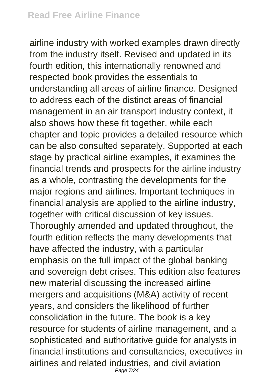airline industry with worked examples drawn directly from the industry itself. Revised and updated in its fourth edition, this internationally renowned and respected book provides the essentials to understanding all areas of airline finance. Designed to address each of the distinct areas of financial management in an air transport industry context, it also shows how these fit together, while each chapter and topic provides a detailed resource which can be also consulted separately. Supported at each stage by practical airline examples, it examines the financial trends and prospects for the airline industry as a whole, contrasting the developments for the major regions and airlines. Important techniques in financial analysis are applied to the airline industry, together with critical discussion of key issues. Thoroughly amended and updated throughout, the fourth edition reflects the many developments that have affected the industry, with a particular emphasis on the full impact of the global banking and sovereign debt crises. This edition also features new material discussing the increased airline mergers and acquisitions (M&A) activity of recent years, and considers the likelihood of further consolidation in the future. The book is a key resource for students of airline management, and a sophisticated and authoritative guide for analysts in financial institutions and consultancies, executives in airlines and related industries, and civil aviation Page 7/24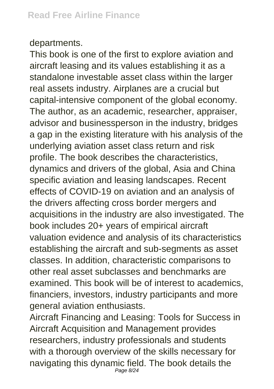## departments.

This book is one of the first to explore aviation and aircraft leasing and its values establishing it as a standalone investable asset class within the larger real assets industry. Airplanes are a crucial but capital-intensive component of the global economy. The author, as an academic, researcher, appraiser, advisor and businessperson in the industry, bridges a gap in the existing literature with his analysis of the underlying aviation asset class return and risk profile. The book describes the characteristics, dynamics and drivers of the global, Asia and China specific aviation and leasing landscapes. Recent effects of COVID-19 on aviation and an analysis of the drivers affecting cross border mergers and acquisitions in the industry are also investigated. The book includes 20+ years of empirical aircraft valuation evidence and analysis of its characteristics establishing the aircraft and sub-segments as asset classes. In addition, characteristic comparisons to other real asset subclasses and benchmarks are examined. This book will be of interest to academics, financiers, investors, industry participants and more general aviation enthusiasts.

Aircraft Financing and Leasing: Tools for Success in Aircraft Acquisition and Management provides researchers, industry professionals and students with a thorough overview of the skills necessary for navigating this dynamic field. The book details the Page 8/24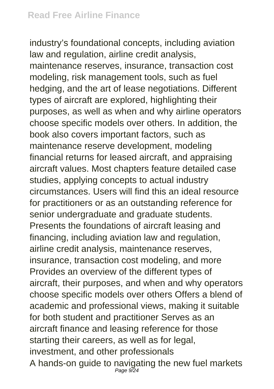industry's foundational concepts, including aviation law and regulation, airline credit analysis, maintenance reserves, insurance, transaction cost modeling, risk management tools, such as fuel hedging, and the art of lease negotiations. Different types of aircraft are explored, highlighting their purposes, as well as when and why airline operators choose specific models over others. In addition, the book also covers important factors, such as maintenance reserve development, modeling financial returns for leased aircraft, and appraising aircraft values. Most chapters feature detailed case studies, applying concepts to actual industry circumstances. Users will find this an ideal resource for practitioners or as an outstanding reference for senior undergraduate and graduate students. Presents the foundations of aircraft leasing and financing, including aviation law and regulation, airline credit analysis, maintenance reserves, insurance, transaction cost modeling, and more Provides an overview of the different types of aircraft, their purposes, and when and why operators choose specific models over others Offers a blend of academic and professional views, making it suitable for both student and practitioner Serves as an aircraft finance and leasing reference for those starting their careers, as well as for legal, investment, and other professionals A hands-on guide to navigating the new fuel markets Page 9/24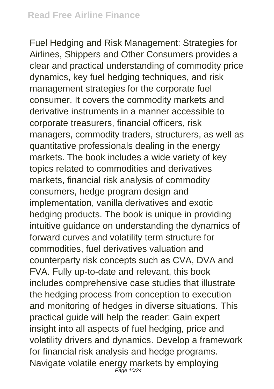Fuel Hedging and Risk Management: Strategies for Airlines, Shippers and Other Consumers provides a clear and practical understanding of commodity price dynamics, key fuel hedging techniques, and risk management strategies for the corporate fuel consumer. It covers the commodity markets and derivative instruments in a manner accessible to corporate treasurers, financial officers, risk managers, commodity traders, structurers, as well as quantitative professionals dealing in the energy markets. The book includes a wide variety of key topics related to commodities and derivatives markets, financial risk analysis of commodity consumers, hedge program design and implementation, vanilla derivatives and exotic hedging products. The book is unique in providing intuitive guidance on understanding the dynamics of forward curves and volatility term structure for commodities, fuel derivatives valuation and counterparty risk concepts such as CVA, DVA and FVA. Fully up-to-date and relevant, this book includes comprehensive case studies that illustrate the hedging process from conception to execution and monitoring of hedges in diverse situations. This practical guide will help the reader: Gain expert insight into all aspects of fuel hedging, price and volatility drivers and dynamics. Develop a framework for financial risk analysis and hedge programs. Navigate volatile energy markets by employing Page 10/24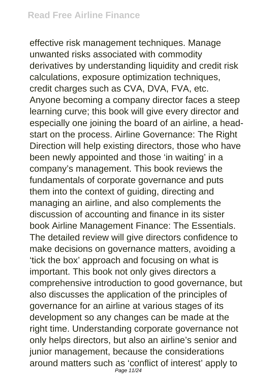effective risk management techniques. Manage unwanted risks associated with commodity derivatives by understanding liquidity and credit risk calculations, exposure optimization techniques, credit charges such as CVA, DVA, FVA, etc. Anyone becoming a company director faces a steep learning curve; this book will give every director and especially one joining the board of an airline, a headstart on the process. Airline Governance: The Right Direction will help existing directors, those who have been newly appointed and those 'in waiting' in a company's management. This book reviews the fundamentals of corporate governance and puts them into the context of guiding, directing and managing an airline, and also complements the discussion of accounting and finance in its sister book Airline Management Finance: The Essentials. The detailed review will give directors confidence to make decisions on governance matters, avoiding a 'tick the box' approach and focusing on what is important. This book not only gives directors a comprehensive introduction to good governance, but also discusses the application of the principles of governance for an airline at various stages of its development so any changes can be made at the right time. Understanding corporate governance not only helps directors, but also an airline's senior and junior management, because the considerations around matters such as 'conflict of interest' apply to Page 11/24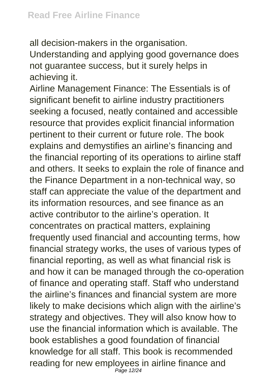all decision-makers in the organisation. Understanding and applying good governance does not guarantee success, but it surely helps in achieving it.

Airline Management Finance: The Essentials is of significant benefit to airline industry practitioners seeking a focused, neatly contained and accessible resource that provides explicit financial information pertinent to their current or future role. The book explains and demystifies an airline's financing and the financial reporting of its operations to airline staff and others. It seeks to explain the role of finance and the Finance Department in a non-technical way, so staff can appreciate the value of the department and its information resources, and see finance as an active contributor to the airline's operation. It concentrates on practical matters, explaining frequently used financial and accounting terms, how financial strategy works, the uses of various types of financial reporting, as well as what financial risk is and how it can be managed through the co-operation of finance and operating staff. Staff who understand the airline's finances and financial system are more likely to make decisions which align with the airline's strategy and objectives. They will also know how to use the financial information which is available. The book establishes a good foundation of financial knowledge for all staff. This book is recommended reading for new employees in airline finance and Page 12/24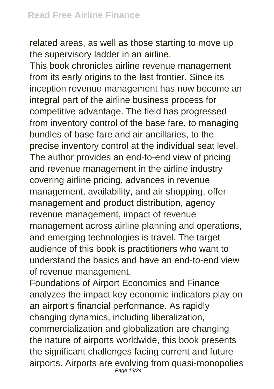related areas, as well as those starting to move up the supervisory ladder in an airline.

This book chronicles airline revenue management from its early origins to the last frontier. Since its inception revenue management has now become an integral part of the airline business process for competitive advantage. The field has progressed from inventory control of the base fare, to managing bundles of base fare and air ancillaries, to the precise inventory control at the individual seat level. The author provides an end-to-end view of pricing and revenue management in the airline industry covering airline pricing, advances in revenue management, availability, and air shopping, offer management and product distribution, agency revenue management, impact of revenue management across airline planning and operations, and emerging technologies is travel. The target audience of this book is practitioners who want to understand the basics and have an end-to-end view of revenue management.

Foundations of Airport Economics and Finance analyzes the impact key economic indicators play on an airport's financial performance. As rapidly changing dynamics, including liberalization, commercialization and globalization are changing the nature of airports worldwide, this book presents the significant challenges facing current and future airports. Airports are evolving from quasi-monopolies Page 13/24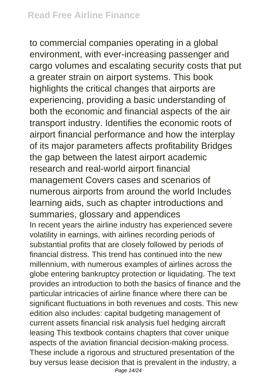to commercial companies operating in a global environment, with ever-increasing passenger and cargo volumes and escalating security costs that put a greater strain on airport systems. This book highlights the critical changes that airports are experiencing, providing a basic understanding of both the economic and financial aspects of the air transport industry. Identifies the economic roots of airport financial performance and how the interplay of its major parameters affects profitability Bridges the gap between the latest airport academic research and real-world airport financial management Covers cases and scenarios of numerous airports from around the world Includes learning aids, such as chapter introductions and summaries, glossary and appendices In recent years the airline industry has experienced severe volatility in earnings, with airlines recording periods of substantial profits that are closely followed by periods of financial distress. This trend has continued into the new millennium, with numerous examples of airlines across the globe entering bankruptcy protection or liquidating. The text provides an introduction to both the basics of finance and the particular intricacies of airline finance where there can be significant fluctuations in both revenues and costs. This new edition also includes: capital budgeting management of current assets financial risk analysis fuel hedging aircraft leasing This textbook contains chapters that cover unique aspects of the aviation financial decision-making process. These include a rigorous and structured presentation of the buy versus lease decision that is prevalent in the industry, a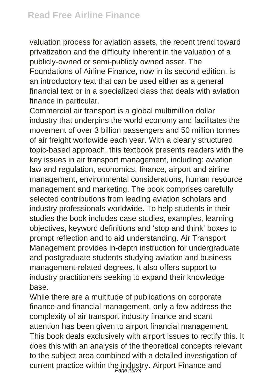valuation process for aviation assets, the recent trend toward privatization and the difficulty inherent in the valuation of a publicly-owned or semi-publicly owned asset. The Foundations of Airline Finance, now in its second edition, is an introductory text that can be used either as a general financial text or in a specialized class that deals with aviation finance in particular.

Commercial air transport is a global multimillion dollar industry that underpins the world economy and facilitates the movement of over 3 billion passengers and 50 million tonnes of air freight worldwide each year. With a clearly structured topic-based approach, this textbook presents readers with the key issues in air transport management, including: aviation law and regulation, economics, finance, airport and airline management, environmental considerations, human resource management and marketing. The book comprises carefully selected contributions from leading aviation scholars and industry professionals worldwide. To help students in their studies the book includes case studies, examples, learning objectives, keyword definitions and 'stop and think' boxes to prompt reflection and to aid understanding. Air Transport Management provides in-depth instruction for undergraduate and postgraduate students studying aviation and business management-related degrees. It also offers support to industry practitioners seeking to expand their knowledge base.

While there are a multitude of publications on corporate finance and financial management, only a few address the complexity of air transport industry finance and scant attention has been given to airport financial management. This book deals exclusively with airport issues to rectify this. It does this with an analysis of the theoretical concepts relevant to the subject area combined with a detailed investigation of current practice within the industry. Airport Finance and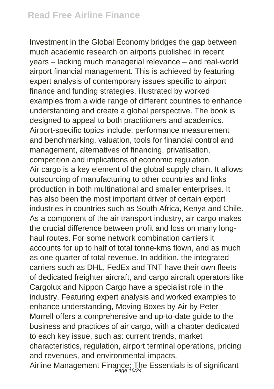Investment in the Global Economy bridges the gap between much academic research on airports published in recent years – lacking much managerial relevance – and real-world airport financial management. This is achieved by featuring expert analysis of contemporary issues specific to airport finance and funding strategies, illustrated by worked examples from a wide range of different countries to enhance understanding and create a global perspective. The book is designed to appeal to both practitioners and academics. Airport-specific topics include: performance measurement and benchmarking, valuation, tools for financial control and management, alternatives of financing, privatisation, competition and implications of economic regulation. Air cargo is a key element of the global supply chain. It allows outsourcing of manufacturing to other countries and links production in both multinational and smaller enterprises. It has also been the most important driver of certain export industries in countries such as South Africa, Kenya and Chile. As a component of the air transport industry, air cargo makes the crucial difference between profit and loss on many longhaul routes. For some network combination carriers it accounts for up to half of total tonne-kms flown, and as much as one quarter of total revenue. In addition, the integrated carriers such as DHL, FedEx and TNT have their own fleets of dedicated freighter aircraft, and cargo aircraft operators like Cargolux and Nippon Cargo have a specialist role in the industry. Featuring expert analysis and worked examples to enhance understanding, Moving Boxes by Air by Peter Morrell offers a comprehensive and up-to-date guide to the business and practices of air cargo, with a chapter dedicated to each key issue, such as: current trends, market characteristics, regulation, airport terminal operations, pricing and revenues, and environmental impacts. Airline Management Finance: The Essentials is of significant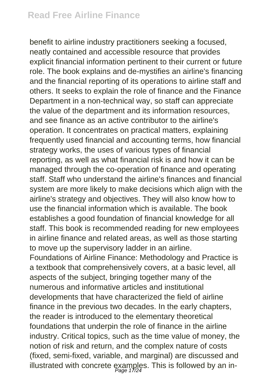benefit to airline industry practitioners seeking a focused, neatly contained and accessible resource that provides explicit financial information pertinent to their current or future role. The book explains and de-mystifies an airline's financing and the financial reporting of its operations to airline staff and others. It seeks to explain the role of finance and the Finance Department in a non-technical way, so staff can appreciate the value of the department and its information resources, and see finance as an active contributor to the airline's operation. It concentrates on practical matters, explaining frequently used financial and accounting terms, how financial strategy works, the uses of various types of financial reporting, as well as what financial risk is and how it can be managed through the co-operation of finance and operating staff. Staff who understand the airline's finances and financial system are more likely to make decisions which align with the airline's strategy and objectives. They will also know how to use the financial information which is available. The book establishes a good foundation of financial knowledge for all staff. This book is recommended reading for new employees in airline finance and related areas, as well as those starting to move up the supervisory ladder in an airline. Foundations of Airline Finance: Methodology and Practice is a textbook that comprehensively covers, at a basic level, all aspects of the subject, bringing together many of the numerous and informative articles and institutional developments that have characterized the field of airline finance in the previous two decades. In the early chapters, the reader is introduced to the elementary theoretical foundations that underpin the role of finance in the airline industry. Critical topics, such as the time value of money, the notion of risk and return, and the complex nature of costs (fixed, semi-fixed, variable, and marginal) are discussed and illustrated with concrete examples. This is followed by an in-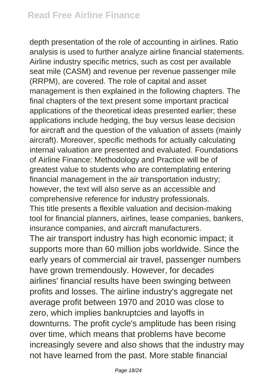depth presentation of the role of accounting in airlines. Ratio analysis is used to further analyze airline financial statements. Airline industry specific metrics, such as cost per available seat mile (CASM) and revenue per revenue passenger mile (RRPM), are covered. The role of capital and asset management is then explained in the following chapters. The final chapters of the text present some important practical applications of the theoretical ideas presented earlier; these applications include hedging, the buy versus lease decision for aircraft and the question of the valuation of assets (mainly aircraft). Moreover, specific methods for actually calculating internal valuation are presented and evaluated. Foundations of Airline Finance: Methodology and Practice will be of greatest value to students who are contemplating entering financial management in the air transportation industry; however, the text will also serve as an accessible and comprehensive reference for industry professionals. This title presents a flexible valuation and decision-making tool for financial planners, airlines, lease companies, bankers, insurance companies, and aircraft manufacturers. The air transport industry has high economic impact; it supports more than 60 million jobs worldwide. Since the early years of commercial air travel, passenger numbers have grown tremendously. However, for decades airlines' financial results have been swinging between profits and losses. The airline industry's aggregate net average profit between 1970 and 2010 was close to zero, which implies bankruptcies and layoffs in downturns. The profit cycle's amplitude has been rising over time, which means that problems have become increasingly severe and also shows that the industry may not have learned from the past. More stable financial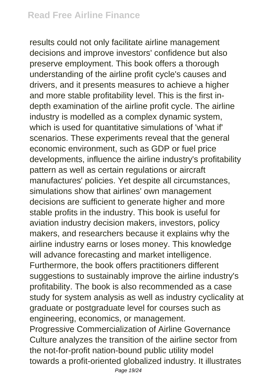results could not only facilitate airline management decisions and improve investors' confidence but also preserve employment. This book offers a thorough understanding of the airline profit cycle's causes and drivers, and it presents measures to achieve a higher and more stable profitability level. This is the first indepth examination of the airline profit cycle. The airline industry is modelled as a complex dynamic system, which is used for quantitative simulations of 'what if' scenarios. These experiments reveal that the general economic environment, such as GDP or fuel price developments, influence the airline industry's profitability pattern as well as certain regulations or aircraft manufactures' policies. Yet despite all circumstances, simulations show that airlines' own management decisions are sufficient to generate higher and more stable profits in the industry. This book is useful for aviation industry decision makers, investors, policy makers, and researchers because it explains why the airline industry earns or loses money. This knowledge will advance forecasting and market intelligence. Furthermore, the book offers practitioners different suggestions to sustainably improve the airline industry's profitability. The book is also recommended as a case study for system analysis as well as industry cyclicality at graduate or postgraduate level for courses such as engineering, economics, or management. Progressive Commercialization of Airline Governance Culture analyzes the transition of the airline sector from the not-for-profit nation-bound public utility model towards a profit-oriented globalized industry. It illustrates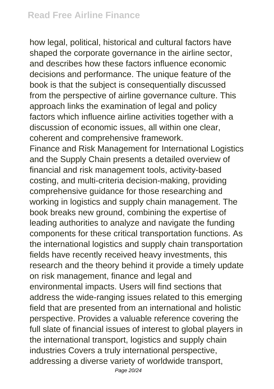how legal, political, historical and cultural factors have shaped the corporate governance in the airline sector, and describes how these factors influence economic decisions and performance. The unique feature of the book is that the subject is consequentially discussed from the perspective of airline governance culture. This approach links the examination of legal and policy factors which influence airline activities together with a discussion of economic issues, all within one clear, coherent and comprehensive framework.

Finance and Risk Management for International Logistics and the Supply Chain presents a detailed overview of financial and risk management tools, activity-based costing, and multi-criteria decision-making, providing comprehensive guidance for those researching and working in logistics and supply chain management. The book breaks new ground, combining the expertise of leading authorities to analyze and navigate the funding components for these critical transportation functions. As the international logistics and supply chain transportation fields have recently received heavy investments, this research and the theory behind it provide a timely update on risk management, finance and legal and environmental impacts. Users will find sections that address the wide-ranging issues related to this emerging field that are presented from an international and holistic perspective. Provides a valuable reference covering the full slate of financial issues of interest to global players in the international transport, logistics and supply chain industries Covers a truly international perspective, addressing a diverse variety of worldwide transport,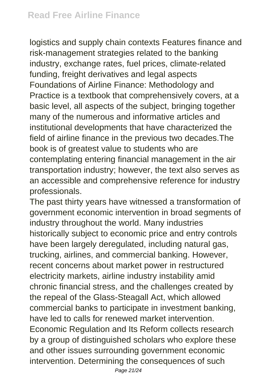logistics and supply chain contexts Features finance and risk-management strategies related to the banking industry, exchange rates, fuel prices, climate-related funding, freight derivatives and legal aspects Foundations of Airline Finance: Methodology and Practice is a textbook that comprehensively covers, at a basic level, all aspects of the subject, bringing together many of the numerous and informative articles and institutional developments that have characterized the field of airline finance in the previous two decades.The book is of greatest value to students who are contemplating entering financial management in the air transportation industry; however, the text also serves as an accessible and comprehensive reference for industry professionals.

The past thirty years have witnessed a transformation of government economic intervention in broad segments of industry throughout the world. Many industries historically subject to economic price and entry controls have been largely deregulated, including natural gas, trucking, airlines, and commercial banking. However, recent concerns about market power in restructured electricity markets, airline industry instability amid chronic financial stress, and the challenges created by the repeal of the Glass-Steagall Act, which allowed commercial banks to participate in investment banking, have led to calls for renewed market intervention. Economic Regulation and Its Reform collects research by a group of distinguished scholars who explore these and other issues surrounding government economic intervention. Determining the consequences of such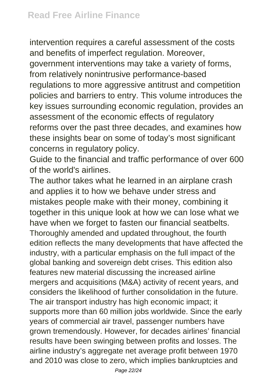intervention requires a careful assessment of the costs and benefits of imperfect regulation. Moreover, government interventions may take a variety of forms, from relatively nonintrusive performance-based regulations to more aggressive antitrust and competition policies and barriers to entry. This volume introduces the key issues surrounding economic regulation, provides an assessment of the economic effects of regulatory reforms over the past three decades, and examines how these insights bear on some of today's most significant concerns in regulatory policy.

Guide to the financial and traffic performance of over 600 of the world's airlines.

The author takes what he learned in an airplane crash and applies it to how we behave under stress and mistakes people make with their money, combining it together in this unique look at how we can lose what we have when we forget to fasten our financial seatbelts. Thoroughly amended and updated throughout, the fourth edition reflects the many developments that have affected the industry, with a particular emphasis on the full impact of the global banking and sovereign debt crises. This edition also features new material discussing the increased airline mergers and acquisitions (M&A) activity of recent years, and considers the likelihood of further consolidation in the future. The air transport industry has high economic impact; it supports more than 60 million jobs worldwide. Since the early years of commercial air travel, passenger numbers have grown tremendously. However, for decades airlines' financial results have been swinging between profits and losses. The airline industry's aggregate net average profit between 1970 and 2010 was close to zero, which implies bankruptcies and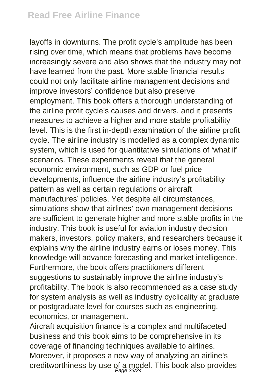layoffs in downturns. The profit cycle's amplitude has been rising over time, which means that problems have become increasingly severe and also shows that the industry may not have learned from the past. More stable financial results could not only facilitate airline management decisions and improve investors' confidence but also preserve employment. This book offers a thorough understanding of the airline profit cycle's causes and drivers, and it presents measures to achieve a higher and more stable profitability level. This is the first in-depth examination of the airline profit cycle. The airline industry is modelled as a complex dynamic system, which is used for quantitative simulations of 'what if' scenarios. These experiments reveal that the general economic environment, such as GDP or fuel price developments, influence the airline industry's profitability pattern as well as certain regulations or aircraft manufactures' policies. Yet despite all circumstances, simulations show that airlines' own management decisions are sufficient to generate higher and more stable profits in the industry. This book is useful for aviation industry decision makers, investors, policy makers, and researchers because it explains why the airline industry earns or loses money. This knowledge will advance forecasting and market intelligence. Furthermore, the book offers practitioners different suggestions to sustainably improve the airline industry's profitability. The book is also recommended as a case study for system analysis as well as industry cyclicality at graduate or postgraduate level for courses such as engineering, economics, or management.

Aircraft acquisition finance is a complex and multifaceted business and this book aims to be comprehensive in its coverage of financing techniques available to airlines. Moreover, it proposes a new way of analyzing an airline's creditworthiness by use of a model. This book also provides